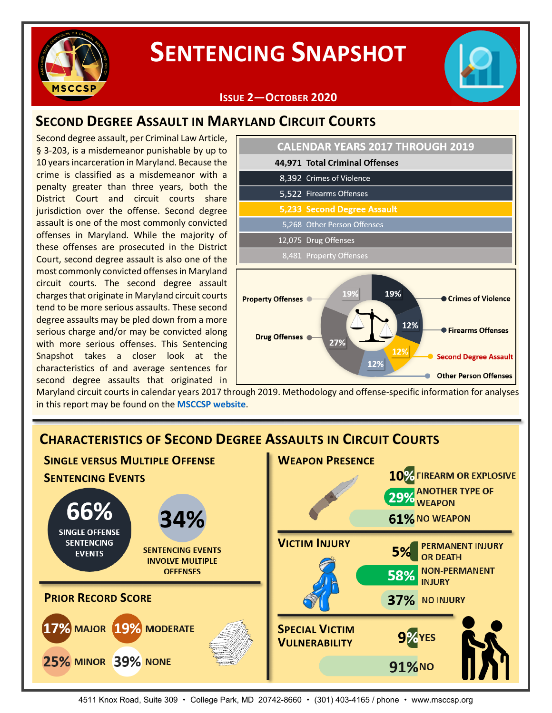

# **SENTENCING SNAPSHOT**



# **SECOND DEGREE ASSAULT IN MARYLAND CIRCUIT COURTS**

Second degree assault, per Criminal Law Article, § 3-203, is a misdemeanor punishable by up to 10 years incarceration in Maryland. Because the crime is classified as a misdemeanor with a penalty greater than three years, both the District Court and circuit courts share jurisdiction over the offense. Second degree assault is one of the most commonly convicted offenses in Maryland. While the majority of these offenses are prosecuted in the District Court, second degree assault is also one of the most commonly convicted offenses in Maryland circuit courts. The second degree assault charges that originate in Maryland circuit courts tend to be more serious assaults. These second degree assaults may be pled down from a more serious charge and/or may be convicted along with more serious offenses. This Sentencing Snapshot takes a closer look at the characteristics of and average sentences for second degree assaults that originated in



Maryland circuit courts in calendar years 2017 through 2019. Methodology and offense-specific information for analyses in this report may be found on the **[MSCCSP website](http://msccsp.org/Files/Sentencing_Snapshot/Issue2_Methodology.pdf)**.